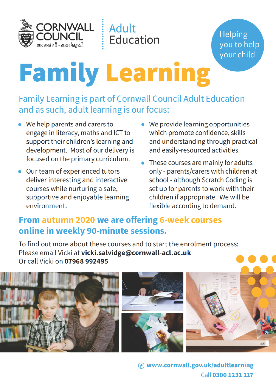

**Helping** you to help your child

# **Family Learning**

**Adult** 

Education

**Family Learning is part of Cornwall Council Adult Education** and as such, adult learning is our focus:

- We help parents and carers to engage in literacy, maths and ICT to support their children's learning and development. Most of our delivery is focused on the primary curriculum.
- Our team of experienced tutors deliver interesting and interactive courses while nurturing a safe, supportive and enjoyable learning environment.
- We provide learning opportunities which promote confidence, skills and understanding through practical and easily-resourced activities.
- These courses are mainly for adults only - parents/carers with children at school - although Scratch Coding is set up for parents to work with their children if appropriate. We will be flexible according to demand.

#### From autumn 2020 we are offering 6-week courses online in weekly 90-minute sessions.

To find out more about these courses and to start the enrolment process: Please email Vicki at vicki.salvidge@cornwall-acl.ac.uk Or call Vicki on 07968 992495



(A) www.cornwall.gov.uk/adultlearning Call 0300 1231 117